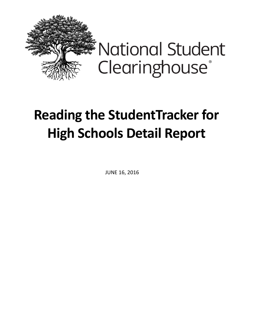

## **Reading the StudentTracker for High Schools Detail Report**

JUNE 16, 2016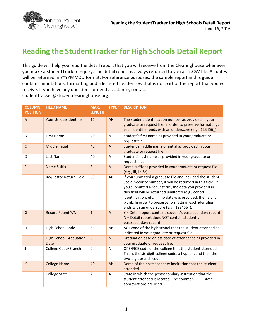

## **Reading the StudentTracker for High Schools Detail Report**

This guide will help you read the detail report that you will receive from the Clearinghouse whenever you make a StudentTracker inquiry. The detail report is always returned to you as a .CSV file. All dates will be returned in YYYYMMDD format. For reference purposes, the sample report in this guide contains annotations, formatting and a lettered header row that is not part of the report that you will receive. If you have any questions or need assistance, contact [studenttracker@studentclearinghouse.org.](mailto:studenttracker@studentclearinghouse.org)

| <b>COLUMN</b>   | <b>FIELD NAME</b>                     | MAX.           | TYPE*          | <b>DESCRIPTION</b>                                                                                                                                                                                                                                                                                                                                                                                                 |
|-----------------|---------------------------------------|----------------|----------------|--------------------------------------------------------------------------------------------------------------------------------------------------------------------------------------------------------------------------------------------------------------------------------------------------------------------------------------------------------------------------------------------------------------------|
| <b>POSITION</b> |                                       | <b>LENGTH</b>  |                |                                                                                                                                                                                                                                                                                                                                                                                                                    |
| $\overline{A}$  | Your Unique Identifier                | 16             | <b>AN</b>      | The student identification number as provided in your<br>graduate or request file. In order to preserve formatting,<br>each identifier ends with an underscore (e.g., 123456_).                                                                                                                                                                                                                                    |
| B               | <b>First Name</b>                     | 40             | A              | Student's first name as provided in your graduate or<br>request file.                                                                                                                                                                                                                                                                                                                                              |
| $\mathsf{C}$    | Middle Initial                        | 40             | $\overline{A}$ | Student's middle name or initial as provided in your<br>graduate or request file.                                                                                                                                                                                                                                                                                                                                  |
| D               | Last Name                             | 40             | A              | Student's last name as provided in your graduate or<br>request file.                                                                                                                                                                                                                                                                                                                                               |
| E               | <b>Name Suffix</b>                    | 5              | $\mathsf{A}$   | Name suffix as provided in your graduate or request file<br>(e.g., III, Jr, Sr).                                                                                                                                                                                                                                                                                                                                   |
| F               | Requestor Return Field                | 50             | AN             | If you submitted a graduate file and included the student<br>Social Security number, it will be returned in this field. If<br>you submitted a request file, the data you provided in<br>this field will be returned unaltered (e.g., cohort<br>identification, etc.). If no data was provided, the field is<br>blank. In order to preserve formatting, each identifier<br>ends with an underscore (e.g., 123456_). |
| G               | Record Found Y/N                      | $\mathbf{1}$   | $\overline{A}$ | Y = Detail report contains student's postsecondary record<br>N = Detail report does NOT contain student's<br>postsecondary record                                                                                                                                                                                                                                                                                  |
| H               | High School Code                      | 6              | AN             | ACT code of the high school that the student attended as<br>indicated in your graduate or request file.                                                                                                                                                                                                                                                                                                            |
| $\mathbf{I}$    | <b>High School Graduation</b><br>Date | 8              | $\mathsf{N}$   | Graduation date or last date of attendance as provided in<br>your graduate or request file.                                                                                                                                                                                                                                                                                                                        |
| J               | College Code/Branch                   | 9              | $\mathsf{N}$   | OPE/FICE code of the college that the student attended.<br>This is the six-digit college code, a hyphen, and then the<br>two-digit branch code.                                                                                                                                                                                                                                                                    |
| K               | <b>College Name</b>                   | 40             | <b>AN</b>      | Name of the postsecondary institution that the student<br>attended.                                                                                                                                                                                                                                                                                                                                                |
| L               | <b>College State</b>                  | $\overline{2}$ | A              | State in which the postsecondary institution that the<br>student attended is located. The common USPS state<br>abbreviations are used.                                                                                                                                                                                                                                                                             |